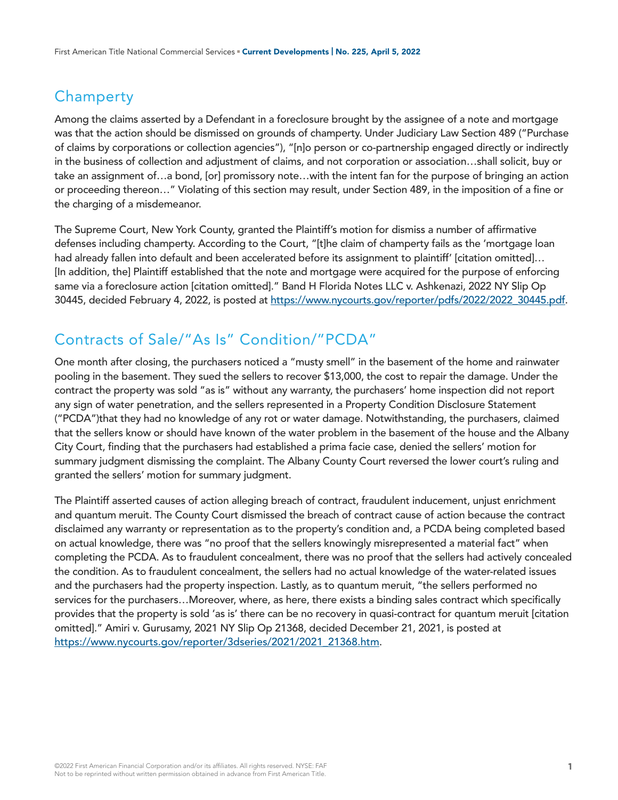### **Champerty**

Among the claims asserted by a Defendant in a foreclosure brought by the assignee of a note and mortgage was that the action should be dismissed on grounds of champerty. Under Judiciary Law Section 489 ("Purchase of claims by corporations or collection agencies"), "[n]o person or co-partnership engaged directly or indirectly in the business of collection and adjustment of claims, and not corporation or association…shall solicit, buy or take an assignment of…a bond, [or] promissory note…with the intent fan for the purpose of bringing an action or proceeding thereon…" Violating of this section may result, under Section 489, in the imposition of a fine or the charging of a misdemeanor.

The Supreme Court, New York County, granted the Plaintiff's motion for dismiss a number of affirmative defenses including champerty. According to the Court, "[t]he claim of champerty fails as the 'mortgage loan had already fallen into default and been accelerated before its assignment to plaintiff' [citation omitted]... [In addition, the] Plaintiff established that the note and mortgage were acquired for the purpose of enforcing same via a foreclosure action [citation omitted]." Band H Florida Notes LLC v. Ashkenazi, 2022 NY Slip Op 30445, decided February 4, 2022, is posted at [https://www.nycourts.gov/reporter/pdfs/2022/2022\\_30445.pdf](https://www.nycourts.gov/reporter/pdfs/2022/2022_30445.pdf).

## Contracts of Sale/"As Is" Condition/"PCDA"

One month after closing, the purchasers noticed a "musty smell" in the basement of the home and rainwater pooling in the basement. They sued the sellers to recover \$13,000, the cost to repair the damage. Under the contract the property was sold "as is" without any warranty, the purchasers' home inspection did not report any sign of water penetration, and the sellers represented in a Property Condition Disclosure Statement ("PCDA")that they had no knowledge of any rot or water damage. Notwithstanding, the purchasers, claimed that the sellers know or should have known of the water problem in the basement of the house and the Albany City Court, finding that the purchasers had established a prima facie case, denied the sellers' motion for summary judgment dismissing the complaint. The Albany County Court reversed the lower court's ruling and granted the sellers' motion for summary judgment.

The Plaintiff asserted causes of action alleging breach of contract, fraudulent inducement, unjust enrichment and quantum meruit. The County Court dismissed the breach of contract cause of action because the contract disclaimed any warranty or representation as to the property's condition and, a PCDA being completed based on actual knowledge, there was "no proof that the sellers knowingly misrepresented a material fact" when completing the PCDA. As to fraudulent concealment, there was no proof that the sellers had actively concealed the condition. As to fraudulent concealment, the sellers had no actual knowledge of the water-related issues and the purchasers had the property inspection. Lastly, as to quantum meruit, "the sellers performed no services for the purchasers…Moreover, where, as here, there exists a binding sales contract which specifically provides that the property is sold 'as is' there can be no recovery in quasi-contract for quantum meruit [citation omitted]." Amiri v. Gurusamy, 2021 NY Slip Op 21368, decided December 21, 2021, is posted at [https://www.nycourts.gov/reporter/3dseries/2021/2021\\_21368.htm.](https://www.nycourts.gov/reporter/3dseries/2021/2021_21368.htm)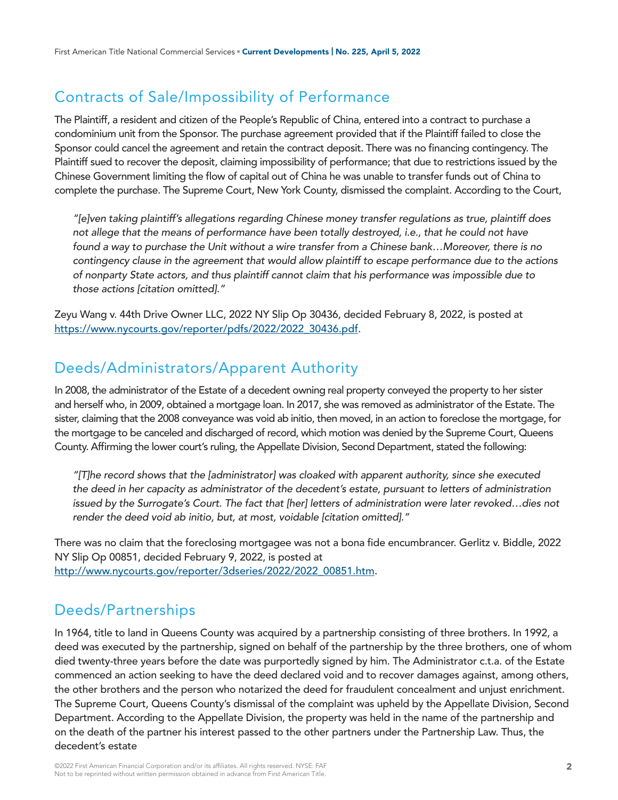# Contracts of Sale/Impossibility of Performance

The Plaintiff, a resident and citizen of the People's Republic of China, entered into a contract to purchase a condominium unit from the Sponsor. The purchase agreement provided that if the Plaintiff failed to close the Sponsor could cancel the agreement and retain the contract deposit. There was no financing contingency. The Plaintiff sued to recover the deposit, claiming impossibility of performance; that due to restrictions issued by the Chinese Government limiting the flow of capital out of China he was unable to transfer funds out of China to complete the purchase. The Supreme Court, New York County, dismissed the complaint. According to the Court,

*"[e]ven taking plaintiff's allegations regarding Chinese money transfer regulations as true, plaintiff does not allege that the means of performance have been totally destroyed, i.e., that he could not have found a way to purchase the Unit without a wire transfer from a Chinese bank…Moreover, there is no contingency clause in the agreement that would allow plaintiff to escape performance due to the actions of nonparty State actors, and thus plaintiff cannot claim that his performance was impossible due to those actions [citation omitted]."*

Zeyu Wang v. 44th Drive Owner LLC, 2022 NY Slip Op 30436, decided February 8, 2022, is posted at [https://www.nycourts.gov/reporter/pdfs/2022/2022\\_30436.pdf.](https://www.nycourts.gov/reporter/pdfs/2022/2022_30436.pdf)

# Deeds/Administrators/Apparent Authority

In 2008, the administrator of the Estate of a decedent owning real property conveyed the property to her sister and herself who, in 2009, obtained a mortgage loan. In 2017, she was removed as administrator of the Estate. The sister, claiming that the 2008 conveyance was void ab initio, then moved, in an action to foreclose the mortgage, for the mortgage to be canceled and discharged of record, which motion was denied by the Supreme Court, Queens County. Affirming the lower court's ruling, the Appellate Division, Second Department, stated the following:

*"[T]he record shows that the [administrator] was cloaked with apparent authority, since she executed the deed in her capacity as administrator of the decedent's estate, pursuant to letters of administration issued by the Surrogate's Court. The fact that [her] letters of administration were later revoked…dies not render the deed void ab initio, but, at most, voidable [citation omitted]."*

There was no claim that the foreclosing mortgagee was not a bona fide encumbrancer. Gerlitz v. Biddle, 2022 NY Slip Op 00851, decided February 9, 2022, is posted at [http://www.nycourts.gov/reporter/3dseries/2022/2022\\_00851.htm](http://www.nycourts.gov/reporter/3dseries/2022/2022_00851.htm).

### Deeds/Partnerships

In 1964, title to land in Queens County was acquired by a partnership consisting of three brothers. In 1992, a deed was executed by the partnership, signed on behalf of the partnership by the three brothers, one of whom died twenty-three years before the date was purportedly signed by him. The Administrator c.t.a. of the Estate commenced an action seeking to have the deed declared void and to recover damages against, among others, the other brothers and the person who notarized the deed for fraudulent concealment and unjust enrichment. The Supreme Court, Queens County's dismissal of the complaint was upheld by the Appellate Division, Second Department. According to the Appellate Division, the property was held in the name of the partnership and on the death of the partner his interest passed to the other partners under the Partnership Law. Thus, the decedent's estate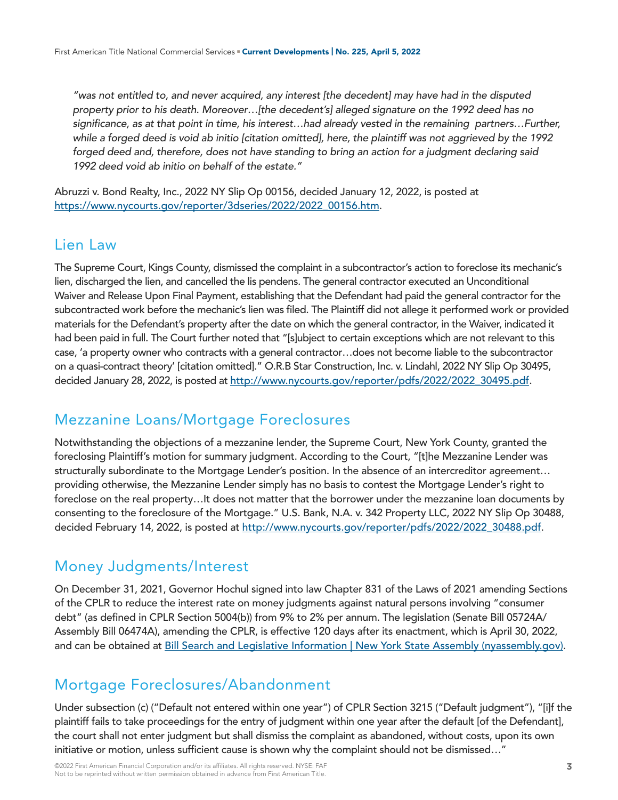*"was not entitled to, and never acquired, any interest [the decedent] may have had in the disputed property prior to his death. Moreover…[the decedent's] alleged signature on the 1992 deed has no significance, as at that point in time, his interest…had already vested in the remaining partners…Further, while a forged deed is void ab initio [citation omitted], here, the plaintiff was not aggrieved by the 1992 forged deed and, therefore, does not have standing to bring an action for a judgment declaring said 1992 deed void ab initio on behalf of the estate."*

Abruzzi v. Bond Realty, Inc., 2022 NY Slip Op 00156, decided January 12, 2022, is posted at [https://www.nycourts.gov/reporter/3dseries/2022/2022\\_00156.htm.](https://www.nycourts.gov/reporter/3dseries/2022/2022_00156.htm)

### Lien Law

The Supreme Court, Kings County, dismissed the complaint in a subcontractor's action to foreclose its mechanic's lien, discharged the lien, and cancelled the lis pendens. The general contractor executed an Unconditional Waiver and Release Upon Final Payment, establishing that the Defendant had paid the general contractor for the subcontracted work before the mechanic's lien was filed. The Plaintiff did not allege it performed work or provided materials for the Defendant's property after the date on which the general contractor, in the Waiver, indicated it had been paid in full. The Court further noted that "[s]ubject to certain exceptions which are not relevant to this case, 'a property owner who contracts with a general contractor…does not become liable to the subcontractor on a quasi-contract theory' [citation omitted]." O.R.B Star Construction, Inc. v. Lindahl, 2022 NY Slip Op 30495, decided January 28, 2022, is posted at [http://www.nycourts.gov/reporter/pdfs/2022/2022\\_30495.pdf](http://www.nycourts.gov/reporter/pdfs/2022/2022_30495.pdf).

### Mezzanine Loans/Mortgage Foreclosures

Notwithstanding the objections of a mezzanine lender, the Supreme Court, New York County, granted the foreclosing Plaintiff's motion for summary judgment. According to the Court, "[t]he Mezzanine Lender was structurally subordinate to the Mortgage Lender's position. In the absence of an intercreditor agreement… providing otherwise, the Mezzanine Lender simply has no basis to contest the Mortgage Lender's right to foreclose on the real property…It does not matter that the borrower under the mezzanine loan documents by consenting to the foreclosure of the Mortgage." U.S. Bank, N.A. v. 342 Property LLC, 2022 NY Slip Op 30488, decided February 14, 2022, is posted at [http://www.nycourts.gov/reporter/pdfs/2022/2022\\_30488.pdf](http://www.nycourts.gov/reporter/pdfs/2022/2022_30488.pdf).

### Money Judgments/Interest

On December 31, 2021, Governor Hochul signed into law Chapter 831 of the Laws of 2021 amending Sections of the CPLR to reduce the interest rate on money judgments against natural persons involving "consumer debt" (as defined in CPLR Section 5004(b)) from 9% to 2% per annum. The legislation (Senate Bill 05724A/ Assembly Bill 06474A), amending the CPLR, is effective 120 days after its enactment, which is April 30, 2022, and can be obtained at [Bill Search and Legislative Information | New York State Assembly \(nyassembly.gov\)](https://www.nyassembly.gov/leg/?default_fld=&leg_video=&bn=S05724&term=2021&Summary=Y&Text=Y).

## Mortgage Foreclosures/Abandonment

Under subsection (c) ("Default not entered within one year") of CPLR Section 3215 ("Default judgment"), "[i]f the plaintiff fails to take proceedings for the entry of judgment within one year after the default [of the Defendant], the court shall not enter judgment but shall dismiss the complaint as abandoned, without costs, upon its own initiative or motion, unless sufficient cause is shown why the complaint should not be dismissed…"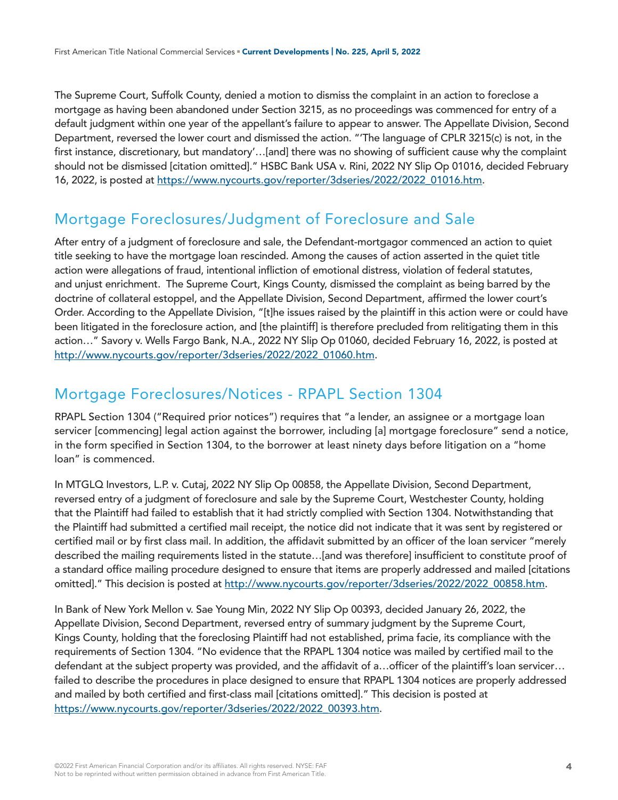The Supreme Court, Suffolk County, denied a motion to dismiss the complaint in an action to foreclose a mortgage as having been abandoned under Section 3215, as no proceedings was commenced for entry of a default judgment within one year of the appellant's failure to appear to answer. The Appellate Division, Second Department, reversed the lower court and dismissed the action. "'The language of CPLR 3215(c) is not, in the first instance, discretionary, but mandatory'…[and] there was no showing of sufficient cause why the complaint should not be dismissed [citation omitted]." HSBC Bank USA v. Rini, 2022 NY Slip Op 01016, decided February 16, 2022, is posted at [https://www.nycourts.gov/reporter/3dseries/2022/2022\\_01016.htm.](https://www.nycourts.gov/reporter/3dseries/2022/2022_01016.htm)

# Mortgage Foreclosures/Judgment of Foreclosure and Sale

After entry of a judgment of foreclosure and sale, the Defendant-mortgagor commenced an action to quiet title seeking to have the mortgage loan rescinded. Among the causes of action asserted in the quiet title action were allegations of fraud, intentional infliction of emotional distress, violation of federal statutes, and unjust enrichment. The Supreme Court, Kings County, dismissed the complaint as being barred by the doctrine of collateral estoppel, and the Appellate Division, Second Department, affirmed the lower court's Order. According to the Appellate Division, "[t]he issues raised by the plaintiff in this action were or could have been litigated in the foreclosure action, and [the plaintiff] is therefore precluded from relitigating them in this action…" Savory v. Wells Fargo Bank, N.A., 2022 NY Slip Op 01060, decided February 16, 2022, is posted at [http://www.nycourts.gov/reporter/3dseries/2022/2022\\_01060.htm](http://www.nycourts.gov/reporter/3dseries/2022/2022_01060.htm).

### Mortgage Foreclosures/Notices - RPAPL Section 1304

RPAPL Section 1304 ("Required prior notices") requires that "a lender, an assignee or a mortgage loan servicer [commencing] legal action against the borrower, including [a] mortgage foreclosure" send a notice, in the form specified in Section 1304, to the borrower at least ninety days before litigation on a "home loan" is commenced.

In MTGLQ Investors, L.P. v. Cutaj, 2022 NY Slip Op 00858, the Appellate Division, Second Department, reversed entry of a judgment of foreclosure and sale by the Supreme Court, Westchester County, holding that the Plaintiff had failed to establish that it had strictly complied with Section 1304. Notwithstanding that the Plaintiff had submitted a certified mail receipt, the notice did not indicate that it was sent by registered or certified mail or by first class mail. In addition, the affidavit submitted by an officer of the loan servicer "merely described the mailing requirements listed in the statute…[and was therefore] insufficient to constitute proof of a standard office mailing procedure designed to ensure that items are properly addressed and mailed [citations omitted]." This decision is posted at [http://www.nycourts.gov/reporter/3dseries/2022/2022\\_00858.htm.](http://www.nycourts.gov/reporter/3dseries/2022/2022_00858.htm)

In Bank of New York Mellon v. Sae Young Min, 2022 NY Slip Op 00393, decided January 26, 2022, the Appellate Division, Second Department, reversed entry of summary judgment by the Supreme Court, Kings County, holding that the foreclosing Plaintiff had not established, prima facie, its compliance with the requirements of Section 1304. "No evidence that the RPAPL 1304 notice was mailed by certified mail to the defendant at the subject property was provided, and the affidavit of a…officer of the plaintiff's loan servicer… failed to describe the procedures in place designed to ensure that RPAPL 1304 notices are properly addressed and mailed by both certified and first-class mail [citations omitted]." This decision is posted at [https://www.nycourts.gov/reporter/3dseries/2022/2022\\_00393.htm.](https://www.nycourts.gov/reporter/3dseries/2022/2022_00393.htm)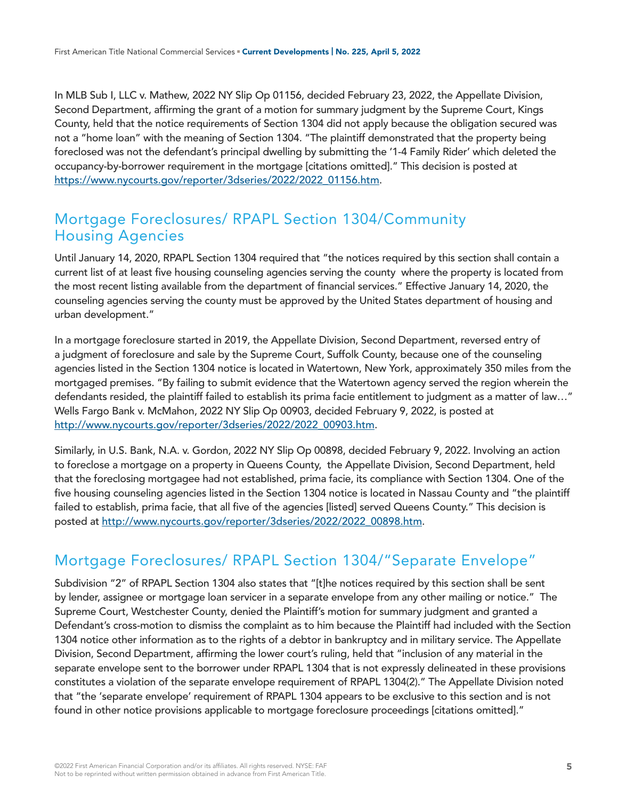In MLB Sub I, LLC v. Mathew, 2022 NY Slip Op 01156, decided February 23, 2022, the Appellate Division, Second Department, affirming the grant of a motion for summary judgment by the Supreme Court, Kings County, held that the notice requirements of Section 1304 did not apply because the obligation secured was not a "home loan" with the meaning of Section 1304. "The plaintiff demonstrated that the property being foreclosed was not the defendant's principal dwelling by submitting the '1-4 Family Rider' which deleted the occupancy-by-borrower requirement in the mortgage [citations omitted]." This decision is posted at [https://www.nycourts.gov/reporter/3dseries/2022/2022\\_01156.htm.](https://www.nycourts.gov/reporter/3dseries/2022/2022_01156.htm)

### Mortgage Foreclosures/ RPAPL Section 1304/Community Housing Agencies

Until January 14, 2020, RPAPL Section 1304 required that "the notices required by this section shall contain a current list of at least five housing counseling agencies serving the county where the property is located from the most recent listing available from the department of financial services." Effective January 14, 2020, the counseling agencies serving the county must be approved by the United States department of housing and urban development."

In a mortgage foreclosure started in 2019, the Appellate Division, Second Department, reversed entry of a judgment of foreclosure and sale by the Supreme Court, Suffolk County, because one of the counseling agencies listed in the Section 1304 notice is located in Watertown, New York, approximately 350 miles from the mortgaged premises. "By failing to submit evidence that the Watertown agency served the region wherein the defendants resided, the plaintiff failed to establish its prima facie entitlement to judgment as a matter of law…" Wells Fargo Bank v. McMahon, 2022 NY Slip Op 00903, decided February 9, 2022, is posted at [http://www.nycourts.gov/reporter/3dseries/2022/2022\\_00903.htm](http://www.nycourts.gov/reporter/3dseries/2022/2022_00903.htm).

Similarly, in U.S. Bank, N.A. v. Gordon, 2022 NY Slip Op 00898, decided February 9, 2022. Involving an action to foreclose a mortgage on a property in Queens County, the Appellate Division, Second Department, held that the foreclosing mortgagee had not established, prima facie, its compliance with Section 1304. One of the five housing counseling agencies listed in the Section 1304 notice is located in Nassau County and "the plaintiff failed to establish, prima facie, that all five of the agencies [listed] served Queens County." This decision is posted at [http://www.nycourts.gov/reporter/3dseries/2022/2022\\_00898.htm](http://www.nycourts.gov/reporter/3dseries/2022/2022_00898.htm).

## Mortgage Foreclosures/ RPAPL Section 1304/"Separate Envelope"

Subdivision "2" of RPAPL Section 1304 also states that "[t]he notices required by this section shall be sent by lender, assignee or mortgage loan servicer in a separate envelope from any other mailing or notice." The Supreme Court, Westchester County, denied the Plaintiff's motion for summary judgment and granted a Defendant's cross-motion to dismiss the complaint as to him because the Plaintiff had included with the Section 1304 notice other information as to the rights of a debtor in bankruptcy and in military service. The Appellate Division, Second Department, affirming the lower court's ruling, held that "inclusion of any material in the separate envelope sent to the borrower under RPAPL 1304 that is not expressly delineated in these provisions constitutes a violation of the separate envelope requirement of RPAPL 1304(2)." The Appellate Division noted that "the 'separate envelope' requirement of RPAPL 1304 appears to be exclusive to this section and is not found in other notice provisions applicable to mortgage foreclosure proceedings [citations omitted]."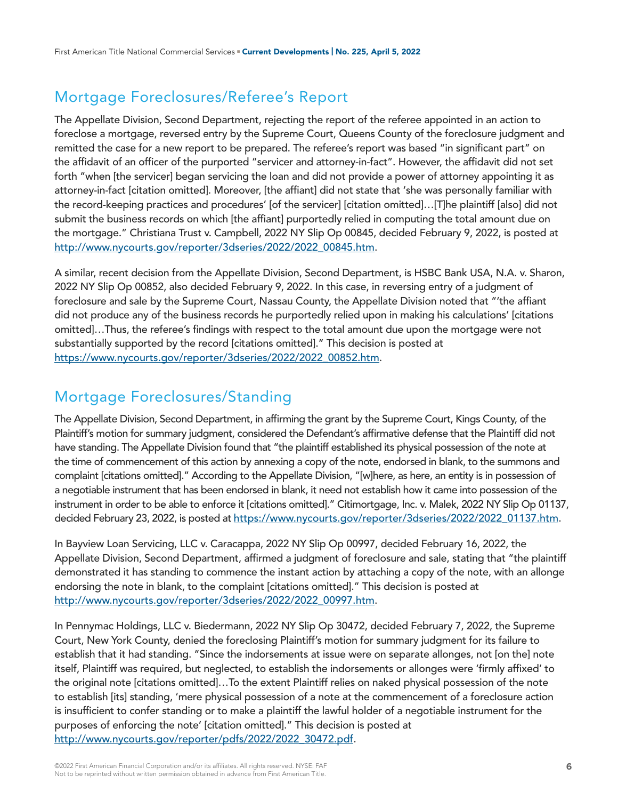# Mortgage Foreclosures/Referee's Report

The Appellate Division, Second Department, rejecting the report of the referee appointed in an action to foreclose a mortgage, reversed entry by the Supreme Court, Queens County of the foreclosure judgment and remitted the case for a new report to be prepared. The referee's report was based "in significant part" on the affidavit of an officer of the purported "servicer and attorney-in-fact". However, the affidavit did not set forth "when [the servicer] began servicing the loan and did not provide a power of attorney appointing it as attorney-in-fact [citation omitted]. Moreover, [the affiant] did not state that 'she was personally familiar with the record-keeping practices and procedures' [of the servicer] [citation omitted]…[T]he plaintiff [also] did not submit the business records on which [the affiant] purportedly relied in computing the total amount due on the mortgage." Christiana Trust v. Campbell, 2022 NY Slip Op 00845, decided February 9, 2022, is posted at [http://www.nycourts.gov/reporter/3dseries/2022/2022\\_00845.htm](http://www.nycourts.gov/reporter/3dseries/2022/2022_00845.htm).

A similar, recent decision from the Appellate Division, Second Department, is HSBC Bank USA, N.A. v. Sharon, 2022 NY Slip Op 00852, also decided February 9, 2022. In this case, in reversing entry of a judgment of foreclosure and sale by the Supreme Court, Nassau County, the Appellate Division noted that "'the affiant did not produce any of the business records he purportedly relied upon in making his calculations' [citations omitted]…Thus, the referee's findings with respect to the total amount due upon the mortgage were not substantially supported by the record [citations omitted]." This decision is posted at [https://www.nycourts.gov/reporter/3dseries/2022/2022\\_00852.htm.](https://www.nycourts.gov/reporter/3dseries/2022/2022_00852.htm)

## Mortgage Foreclosures/Standing

The Appellate Division, Second Department, in affirming the grant by the Supreme Court, Kings County, of the Plaintiff's motion for summary judgment, considered the Defendant's affirmative defense that the Plaintiff did not have standing. The Appellate Division found that "the plaintiff established its physical possession of the note at the time of commencement of this action by annexing a copy of the note, endorsed in blank, to the summons and complaint [citations omitted]." According to the Appellate Division, "[w]here, as here, an entity is in possession of a negotiable instrument that has been endorsed in blank, it need not establish how it came into possession of the instrument in order to be able to enforce it [citations omitted]." Citimortgage, Inc. v. Malek, 2022 NY Slip Op 01137, decided February 23, 2022, is posted at [https://www.nycourts.gov/reporter/3dseries/2022/2022\\_01137.htm.](https://www.nycourts.gov/reporter/3dseries/2022/2022_01137.htm)

In Bayview Loan Servicing, LLC v. Caracappa, 2022 NY Slip Op 00997, decided February 16, 2022, the Appellate Division, Second Department, affirmed a judgment of foreclosure and sale, stating that "the plaintiff demonstrated it has standing to commence the instant action by attaching a copy of the note, with an allonge endorsing the note in blank, to the complaint [citations omitted]." This decision is posted at [http://www.nycourts.gov/reporter/3dseries/2022/2022\\_00997.htm](http://www.nycourts.gov/reporter/3dseries/2022/2022_00997.htm).

In Pennymac Holdings, LLC v. Biedermann, 2022 NY Slip Op 30472, decided February 7, 2022, the Supreme Court, New York County, denied the foreclosing Plaintiff's motion for summary judgment for its failure to establish that it had standing. "Since the indorsements at issue were on separate allonges, not [on the] note itself, Plaintiff was required, but neglected, to establish the indorsements or allonges were 'firmly affixed' to the original note [citations omitted]…To the extent Plaintiff relies on naked physical possession of the note to establish [its] standing, 'mere physical possession of a note at the commencement of a foreclosure action is insufficient to confer standing or to make a plaintiff the lawful holder of a negotiable instrument for the purposes of enforcing the note' [citation omitted]." This decision is posted at [http://www.nycourts.gov/reporter/pdfs/2022/2022\\_30472.pdf](http://www.nycourts.gov/reporter/pdfs/2022/2022_30472.pdf).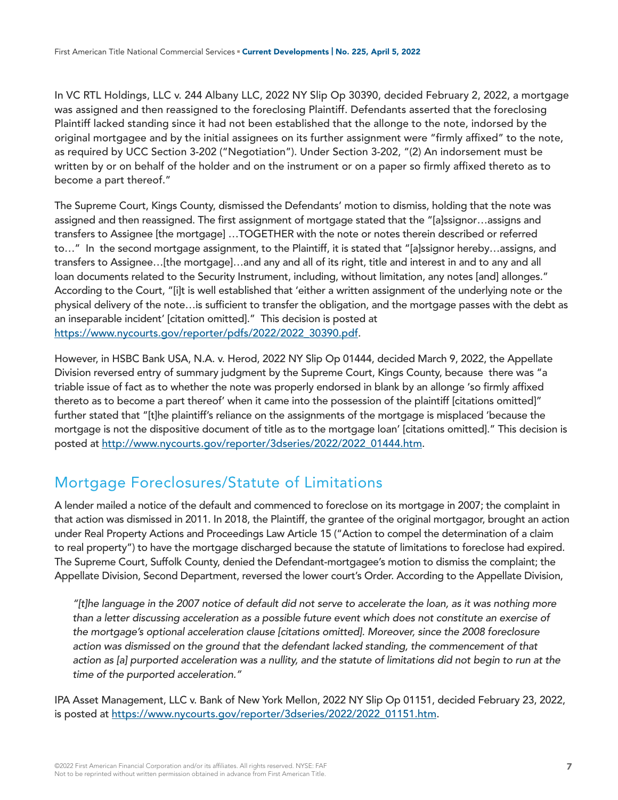In VC RTL Holdings, LLC v. 244 Albany LLC, 2022 NY Slip Op 30390, decided February 2, 2022, a mortgage was assigned and then reassigned to the foreclosing Plaintiff. Defendants asserted that the foreclosing Plaintiff lacked standing since it had not been established that the allonge to the note, indorsed by the original mortgagee and by the initial assignees on its further assignment were "firmly affixed" to the note, as required by UCC Section 3-202 ("Negotiation"). Under Section 3-202, "(2) An indorsement must be written by or on behalf of the holder and on the instrument or on a paper so firmly affixed thereto as to become a part thereof."

The Supreme Court, Kings County, dismissed the Defendants' motion to dismiss, holding that the note was assigned and then reassigned. The first assignment of mortgage stated that the "[a]ssignor…assigns and transfers to Assignee [the mortgage] …TOGETHER with the note or notes therein described or referred to…" In the second mortgage assignment, to the Plaintiff, it is stated that "[a]ssignor hereby…assigns, and transfers to Assignee…[the mortgage]…and any and all of its right, title and interest in and to any and all loan documents related to the Security Instrument, including, without limitation, any notes [and] allonges." According to the Court, "[i]t is well established that 'either a written assignment of the underlying note or the physical delivery of the note…is sufficient to transfer the obligation, and the mortgage passes with the debt as an inseparable incident' [citation omitted]." This decision is posted at [https://www.nycourts.gov/reporter/pdfs/2022/2022\\_30390.pdf.](https://www.nycourts.gov/reporter/pdfs/2022/2022_30390.pdf)

However, in HSBC Bank USA, N.A. v. Herod, 2022 NY Slip Op 01444, decided March 9, 2022, the Appellate Division reversed entry of summary judgment by the Supreme Court, Kings County, because there was "a triable issue of fact as to whether the note was properly endorsed in blank by an allonge 'so firmly affixed thereto as to become a part thereof' when it came into the possession of the plaintiff [citations omitted]" further stated that "[t]he plaintiff's reliance on the assignments of the mortgage is misplaced 'because the mortgage is not the dispositive document of title as to the mortgage loan' [citations omitted]." This decision is posted at [http://www.nycourts.gov/reporter/3dseries/2022/2022\\_01444.htm](http://www.nycourts.gov/reporter/3dseries/2022/2022_01444.htm).

## Mortgage Foreclosures/Statute of Limitations

A lender mailed a notice of the default and commenced to foreclose on its mortgage in 2007; the complaint in that action was dismissed in 2011. In 2018, the Plaintiff, the grantee of the original mortgagor, brought an action under Real Property Actions and Proceedings Law Article 15 ("Action to compel the determination of a claim to real property") to have the mortgage discharged because the statute of limitations to foreclose had expired. The Supreme Court, Suffolk County, denied the Defendant-mortgagee's motion to dismiss the complaint; the Appellate Division, Second Department, reversed the lower court's Order. According to the Appellate Division,

*"[t]he language in the 2007 notice of default did not serve to accelerate the loan, as it was nothing more than a letter discussing acceleration as a possible future event which does not constitute an exercise of the mortgage's optional acceleration clause [citations omitted]. Moreover, since the 2008 foreclosure action was dismissed on the ground that the defendant lacked standing, the commencement of that*  action as [a] purported acceleration was a nullity, and the statute of limitations did not begin to run at the *time of the purported acceleration."* 

IPA Asset Management, LLC v. Bank of New York Mellon, 2022 NY Slip Op 01151, decided February 23, 2022, is posted at [https://www.nycourts.gov/reporter/3dseries/2022/2022\\_01151.htm.](https://www.nycourts.gov/reporter/3dseries/2022/2022_01151.htm)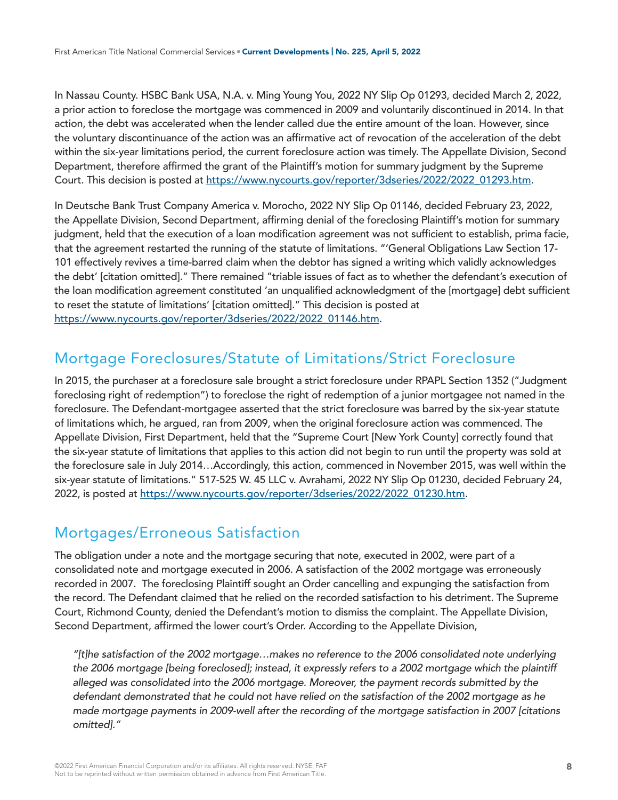In Nassau County. HSBC Bank USA, N.A. v. Ming Young You, 2022 NY Slip Op 01293, decided March 2, 2022, a prior action to foreclose the mortgage was commenced in 2009 and voluntarily discontinued in 2014. In that action, the debt was accelerated when the lender called due the entire amount of the loan. However, since the voluntary discontinuance of the action was an affirmative act of revocation of the acceleration of the debt within the six-year limitations period, the current foreclosure action was timely. The Appellate Division, Second Department, therefore affirmed the grant of the Plaintiff's motion for summary judgment by the Supreme Court. This decision is posted at [https://www.nycourts.gov/reporter/3dseries/2022/2022\\_01293.htm](https://www.nycourts.gov/reporter/3dseries/2022/2022_01293.htm).

In Deutsche Bank Trust Company America v. Morocho, 2022 NY Slip Op 01146, decided February 23, 2022, the Appellate Division, Second Department, affirming denial of the foreclosing Plaintiff's motion for summary judgment, held that the execution of a loan modification agreement was not sufficient to establish, prima facie, that the agreement restarted the running of the statute of limitations. "'General Obligations Law Section 17- 101 effectively revives a time-barred claim when the debtor has signed a writing which validly acknowledges the debt' [citation omitted]." There remained "triable issues of fact as to whether the defendant's execution of the loan modification agreement constituted 'an unqualified acknowledgment of the [mortgage] debt sufficient to reset the statute of limitations' [citation omitted]." This decision is posted at [https://www.nycourts.gov/reporter/3dseries/2022/2022\\_01146.htm.](https://www.nycourts.gov/reporter/3dseries/2022/2022_01146.htm)

## Mortgage Foreclosures/Statute of Limitations/Strict Foreclosure

In 2015, the purchaser at a foreclosure sale brought a strict foreclosure under RPAPL Section 1352 ("Judgment foreclosing right of redemption") to foreclose the right of redemption of a junior mortgagee not named in the foreclosure. The Defendant-mortgagee asserted that the strict foreclosure was barred by the six-year statute of limitations which, he argued, ran from 2009, when the original foreclosure action was commenced. The Appellate Division, First Department, held that the "Supreme Court [New York County] correctly found that the six-year statute of limitations that applies to this action did not begin to run until the property was sold at the foreclosure sale in July 2014…Accordingly, this action, commenced in November 2015, was well within the six-year statute of limitations." 517-525 W. 45 LLC v. Avrahami, 2022 NY Slip Op 01230, decided February 24, 2022, is posted at [https://www.nycourts.gov/reporter/3dseries/2022/2022\\_01230.htm.](https://www.nycourts.gov/reporter/3dseries/2022/2022_01230.htm)

### Mortgages/Erroneous Satisfaction

The obligation under a note and the mortgage securing that note, executed in 2002, were part of a consolidated note and mortgage executed in 2006. A satisfaction of the 2002 mortgage was erroneously recorded in 2007. The foreclosing Plaintiff sought an Order cancelling and expunging the satisfaction from the record. The Defendant claimed that he relied on the recorded satisfaction to his detriment. The Supreme Court, Richmond County, denied the Defendant's motion to dismiss the complaint. The Appellate Division, Second Department, affirmed the lower court's Order. According to the Appellate Division,

*"[t]he satisfaction of the 2002 mortgage…makes no reference to the 2006 consolidated note underlying the 2006 mortgage [being foreclosed]; instead, it expressly refers to a 2002 mortgage which the plaintiff alleged was consolidated into the 2006 mortgage. Moreover, the payment records submitted by the defendant demonstrated that he could not have relied on the satisfaction of the 2002 mortgage as he made mortgage payments in 2009-well after the recording of the mortgage satisfaction in 2007 [citations omitted]."*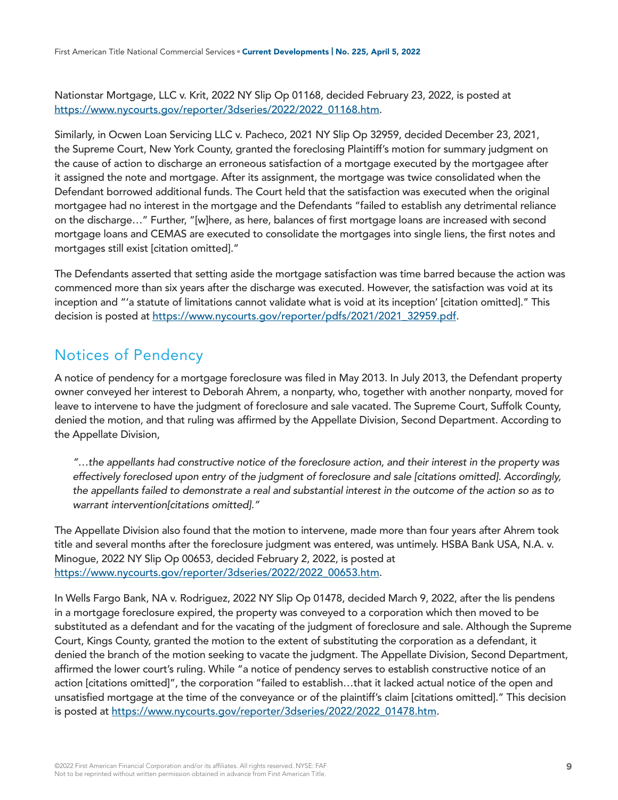Nationstar Mortgage, LLC v. Krit, 2022 NY Slip Op 01168, decided February 23, 2022, is posted at [https://www.nycourts.gov/reporter/3dseries/2022/2022\\_01168.htm.](https://www.nycourts.gov/reporter/3dseries/2022/2022_01168.htm)

Similarly, in Ocwen Loan Servicing LLC v. Pacheco, 2021 NY Slip Op 32959, decided December 23, 2021, the Supreme Court, New York County, granted the foreclosing Plaintiff's motion for summary judgment on the cause of action to discharge an erroneous satisfaction of a mortgage executed by the mortgagee after it assigned the note and mortgage. After its assignment, the mortgage was twice consolidated when the Defendant borrowed additional funds. The Court held that the satisfaction was executed when the original mortgagee had no interest in the mortgage and the Defendants "failed to establish any detrimental reliance on the discharge…" Further, "[w]here, as here, balances of first mortgage loans are increased with second mortgage loans and CEMAS are executed to consolidate the mortgages into single liens, the first notes and mortgages still exist [citation omitted]."

The Defendants asserted that setting aside the mortgage satisfaction was time barred because the action was commenced more than six years after the discharge was executed. However, the satisfaction was void at its inception and "'a statute of limitations cannot validate what is void at its inception' [citation omitted]." This decision is posted at [https://www.nycourts.gov/reporter/pdfs/2021/2021\\_32959.pdf](https://www.nycourts.gov/reporter/pdfs/2021/2021_32959.pdf).

### Notices of Pendency

A notice of pendency for a mortgage foreclosure was filed in May 2013. In July 2013, the Defendant property owner conveyed her interest to Deborah Ahrem, a nonparty, who, together with another nonparty, moved for leave to intervene to have the judgment of foreclosure and sale vacated. The Supreme Court, Suffolk County, denied the motion, and that ruling was affirmed by the Appellate Division, Second Department. According to the Appellate Division,

*"…the appellants had constructive notice of the foreclosure action, and their interest in the property was effectively foreclosed upon entry of the judgment of foreclosure and sale [citations omitted]. Accordingly, the appellants failed to demonstrate a real and substantial interest in the outcome of the action so as to warrant intervention[citations omitted]."*

The Appellate Division also found that the motion to intervene, made more than four years after Ahrem took title and several months after the foreclosure judgment was entered, was untimely. HSBA Bank USA, N.A. v. Minogue, 2022 NY Slip Op 00653, decided February 2, 2022, is posted at [https://www.nycourts.gov/reporter/3dseries/2022/2022\\_00653.htm.](https://www.nycourts.gov/reporter/3dseries/2022/2022_00653.htm)

In Wells Fargo Bank, NA v. Rodriguez, 2022 NY Slip Op 01478, decided March 9, 2022, after the lis pendens in a mortgage foreclosure expired, the property was conveyed to a corporation which then moved to be substituted as a defendant and for the vacating of the judgment of foreclosure and sale. Although the Supreme Court, Kings County, granted the motion to the extent of substituting the corporation as a defendant, it denied the branch of the motion seeking to vacate the judgment. The Appellate Division, Second Department, affirmed the lower court's ruling. While "a notice of pendency serves to establish constructive notice of an action [citations omitted]", the corporation "failed to establish…that it lacked actual notice of the open and unsatisfied mortgage at the time of the conveyance or of the plaintiff's claim [citations omitted]." This decision is posted at [https://www.nycourts.gov/reporter/3dseries/2022/2022\\_01478.htm.](https://www.nycourts.gov/reporter/3dseries/2022/2022_01478.htm)